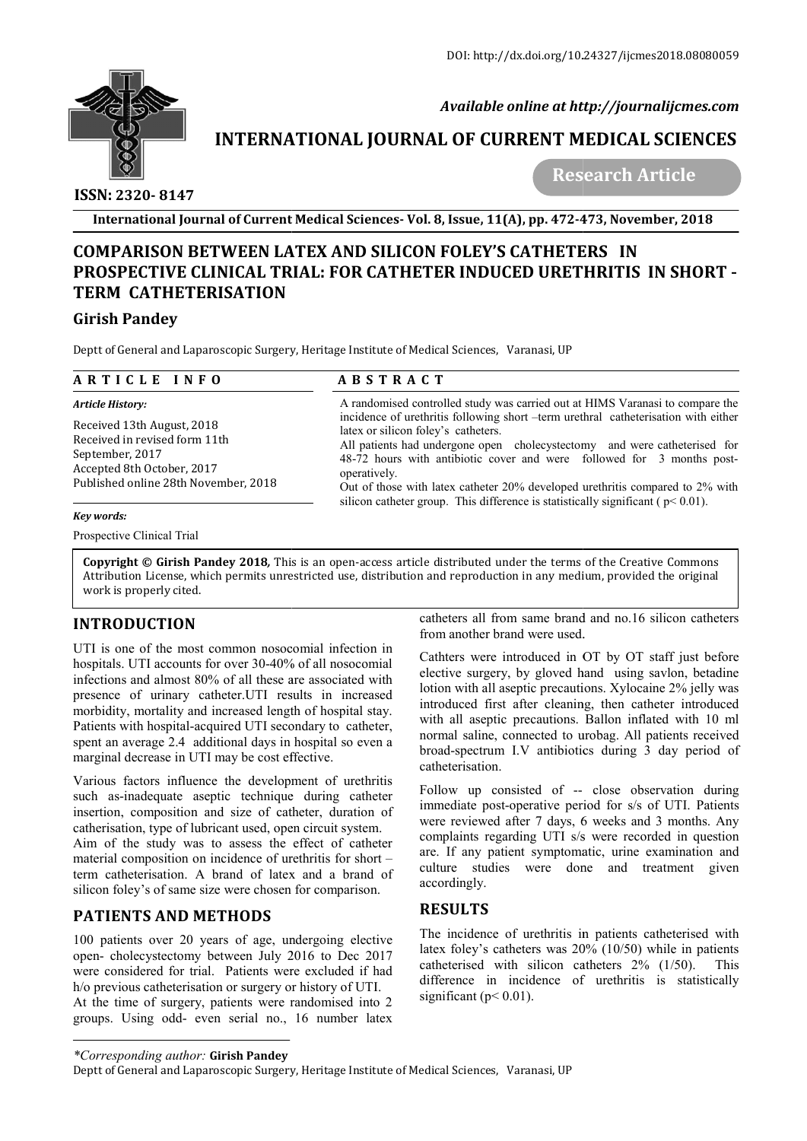

 *Available online at http://journalijcmes.com*

# **INTERNATIONAL JOURNAL OF CURRENT MEDICAL SCIENCES**<br>Research Article

 **ISSN: 2320- 8147**

 **Research Article**

**International Journal of Current Medical Sciences Sciences- Vol. 8, Issue, 11(A), pp. 472-473**

## **COMPARISON BETWEEN LATEX AND SILICON FOLEY'S CATHETERS IN COMPARISON BETWEEN PROSPECTIVE CLINICAL TRIAL: FOR CATHETER INDUCED URETHRITIS IN SHORT SHORT – TERM CATHETERISATION**

#### **Girish Pandey**

| International Journal of Current Medical Sciences- Vol. 8, Issue, 11(A), pp. 472-473, November, 2018                                                                                                                                                                                                                                                                                                                                                                                     |                                                                                                                                                                                                                                                                                                                                                                                                                                                                                                                                                           |                                                                                                                                                                                                                                                                                                                                                                                                                                                     |
|------------------------------------------------------------------------------------------------------------------------------------------------------------------------------------------------------------------------------------------------------------------------------------------------------------------------------------------------------------------------------------------------------------------------------------------------------------------------------------------|-----------------------------------------------------------------------------------------------------------------------------------------------------------------------------------------------------------------------------------------------------------------------------------------------------------------------------------------------------------------------------------------------------------------------------------------------------------------------------------------------------------------------------------------------------------|-----------------------------------------------------------------------------------------------------------------------------------------------------------------------------------------------------------------------------------------------------------------------------------------------------------------------------------------------------------------------------------------------------------------------------------------------------|
| <b>COMPARISON BETWEEN LATEX AND SILICON FOLEY'S CATHETERS IN</b><br><b>TERM CATHETERISATION</b>                                                                                                                                                                                                                                                                                                                                                                                          |                                                                                                                                                                                                                                                                                                                                                                                                                                                                                                                                                           | PROSPECTIVE CLINICAL TRIAL: FOR CATHETER INDUCED URETHRITIS IN SHORT -                                                                                                                                                                                                                                                                                                                                                                              |
| <b>Girish Pandey</b>                                                                                                                                                                                                                                                                                                                                                                                                                                                                     |                                                                                                                                                                                                                                                                                                                                                                                                                                                                                                                                                           |                                                                                                                                                                                                                                                                                                                                                                                                                                                     |
| Deptt of General and Laparoscopic Surgery, Heritage Institute of Medical Sciences, Varanasi, UP                                                                                                                                                                                                                                                                                                                                                                                          |                                                                                                                                                                                                                                                                                                                                                                                                                                                                                                                                                           |                                                                                                                                                                                                                                                                                                                                                                                                                                                     |
| ARTICLE INFO                                                                                                                                                                                                                                                                                                                                                                                                                                                                             | <b>ABSTRACT</b>                                                                                                                                                                                                                                                                                                                                                                                                                                                                                                                                           |                                                                                                                                                                                                                                                                                                                                                                                                                                                     |
| <b>Article History:</b>                                                                                                                                                                                                                                                                                                                                                                                                                                                                  | A randomised controlled study was carried out at HIMS Varanasi to compare the<br>incidence of urethritis following short -term urethral catheterisation with either<br>latex or silicon foley's catheters.<br>All patients had undergone open cholecystectomy and were catheterised for<br>48-72 hours with antibiotic cover and were followed for 3 months post-<br>operatively.<br>Out of those with latex catheter 20% developed urethritis compared to 2% with<br>silicon catheter group. This difference is statistically significant ( $p$ < 0.01). |                                                                                                                                                                                                                                                                                                                                                                                                                                                     |
| Received 13th August, 2018<br>Received in revised form 11th<br>September, 2017<br>Accepted 8th October, 2017<br>Published online 28th November, 2018                                                                                                                                                                                                                                                                                                                                     |                                                                                                                                                                                                                                                                                                                                                                                                                                                                                                                                                           |                                                                                                                                                                                                                                                                                                                                                                                                                                                     |
| Key words:                                                                                                                                                                                                                                                                                                                                                                                                                                                                               |                                                                                                                                                                                                                                                                                                                                                                                                                                                                                                                                                           |                                                                                                                                                                                                                                                                                                                                                                                                                                                     |
| Prospective Clinical Trial                                                                                                                                                                                                                                                                                                                                                                                                                                                               |                                                                                                                                                                                                                                                                                                                                                                                                                                                                                                                                                           |                                                                                                                                                                                                                                                                                                                                                                                                                                                     |
| work is properly cited.                                                                                                                                                                                                                                                                                                                                                                                                                                                                  |                                                                                                                                                                                                                                                                                                                                                                                                                                                                                                                                                           | Copyright © Girish Pandey 2018, This is an open-access article distributed under the terms of the Creative Commons<br>Attribution License, which permits unrestricted use, distribution and reproduction in any medium, provided the original                                                                                                                                                                                                       |
| <b>INTRODUCTION</b>                                                                                                                                                                                                                                                                                                                                                                                                                                                                      |                                                                                                                                                                                                                                                                                                                                                                                                                                                                                                                                                           | catheters all from same brand and no.16 silicon catheters<br>from another brand were used.                                                                                                                                                                                                                                                                                                                                                          |
| UTI is one of the most common nosocomial infection in<br>hospitals. UTI accounts for over 30-40% of all nosocomial<br>infections and almost 80% of all these are associated with<br>presence of urinary catheter. UTI results in increased<br>morbidity, mortality and increased length of hospital stay.<br>Patients with hospital-acquired UTI secondary to catheter,<br>spent an average 2.4 additional days in hospital so even a<br>marginal decrease in UTI may be cost effective. |                                                                                                                                                                                                                                                                                                                                                                                                                                                                                                                                                           | Cathters were introduced in OT by OT staff just before<br>elective surgery, by gloved hand using savlon, betadine<br>lotion with all aseptic precautions. Xylocaine 2% jelly was<br>introduced first after cleaning, then catheter introduced<br>with all aseptic precautions. Ballon inflated with 10 ml<br>normal saline, connected to urobag. All patients received<br>broad-spectrum I.V antibiotics during 3 day period of<br>catheterisation. |
| Various factors influence the development of urethritis<br>such as-inadequate aseptic technique during catheter<br>insertion, composition and size of catheter, duration of<br>catherisation, type of lubricant used, open circuit system.<br>Aim of the study was to assess the effect of catheter<br>material composition on incidence of urethritis for short -<br>term catheterisation. A brand of latex and a brand of<br>silicon foley's of same size were chosen for comparison.  |                                                                                                                                                                                                                                                                                                                                                                                                                                                                                                                                                           | Follow up consisted of -- close observation during<br>immediate post-operative period for s/s of UTI. Patients<br>were reviewed after 7 days, 6 weeks and 3 months. Any<br>complaints regarding UTI s/s were recorded in question<br>are. If any patient symptomatic, urine examination and<br>culture studies<br>were done and treatment given<br>accordingly.                                                                                     |
| <b>PATIENTS AND METHODS</b>                                                                                                                                                                                                                                                                                                                                                                                                                                                              |                                                                                                                                                                                                                                                                                                                                                                                                                                                                                                                                                           | <b>RESULTS</b>                                                                                                                                                                                                                                                                                                                                                                                                                                      |
| 100 patients over 20 years of age, undergoing elective<br>open- cholecystectomy between July 2016 to Dec 2017<br>were considered for trial. Patients were excluded if had<br>h/o previous estheterisation or surgery or history of LITI                                                                                                                                                                                                                                                  |                                                                                                                                                                                                                                                                                                                                                                                                                                                                                                                                                           | The incidence of urethritis in patients catheterised with<br>latex foley's catheters was $20\%$ (10/50) while in patients<br>catheterised with silicon catheters $2\%$ (1/50).<br>This<br>difference in incidence of urethritis is statistically                                                                                                                                                                                                    |

## **INTRODUCTION**

## **PATIENTS AND METHODS**

100 patients over 20 years of age, undergoing elective open- cholecystectomy between July 2016 to Dec 2017 were considered for trial. Patients were excluded if had h/o previous catheterisation or surgery or history of UTI. At the time of surgery, patients were randomised into 2 groups. Using odd- even serial no., 16 number latex

## **RESULTS**

latex foley's catheters was 20% (10/50) while in patients catheterised with silicon catheters 2% (1/50). This difference in incidence of urethritis is statistically significant ( $p < 0.01$ ).

*<sup>\*</sup>Corresponding author:* **Girish Pandey** 

Deptt of General and Laparoscopic Surgery, Heritage Institute of Medical Sciences, Varanasi, UP